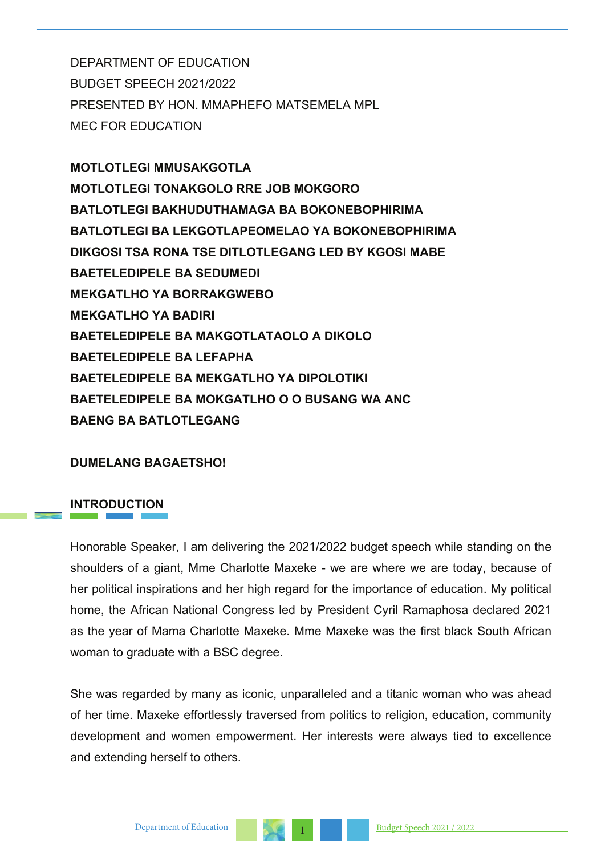DEPARTMENT OF EDUCATION BUDGET SPEECH 2021/2022 PRESENTED BY HON. MMAPHEFO MATSEMELA MPL MEC FOR EDUCATION

**MOTLOTLEGI MMUSAKGOTLA MOTLOTLEGI TONAKGOLO RRE JOB MOKGORO BATLOTLEGI BAKHUDUTHAMAGA BA BOKONEBOPHIRIMA BATLOTLEGI BA LEKGOTLAPEOMELAO YA BOKONEBOPHIRIMA DIKGOSI TSA RONA TSE DITLOTLEGANG LED BY KGOSI MABE BAETELEDIPELE BA SEDUMEDI MEKGATLHO YA BORRAKGWEBO MEKGATLHO YA BADIRI BAETELEDIPELE BA MAKGOTLATAOLO A DIKOLO BAETELEDIPELE BA LEFAPHA BAETELEDIPELE BA MEKGATLHO YA DIPOLOTIKI BAETELEDIPELE BA MOKGATLHO O O BUSANG WA ANC BAENG BA BATLOTLEGANG**

### **DUMELANG BAGAETSHO!**

## **INTRODUCTION**

Honorable Speaker, I am delivering the 2021/2022 budget speech while standing on the shoulders of a giant, Mme Charlotte Maxeke - we are where we are today, because of her political inspirations and her high regard for the importance of education. My political home, the African National Congress led by President Cyril Ramaphosa declared 2021 as the year of Mama Charlotte Maxeke. Mme Maxeke was the first black South African woman to graduate with a BSC degree.

She was regarded by many as iconic, unparalleled and a titanic woman who was ahead of her time. Maxeke effortlessly traversed from politics to religion, education, community development and women empowerment. Her interests were always tied to excellence and extending herself to others.

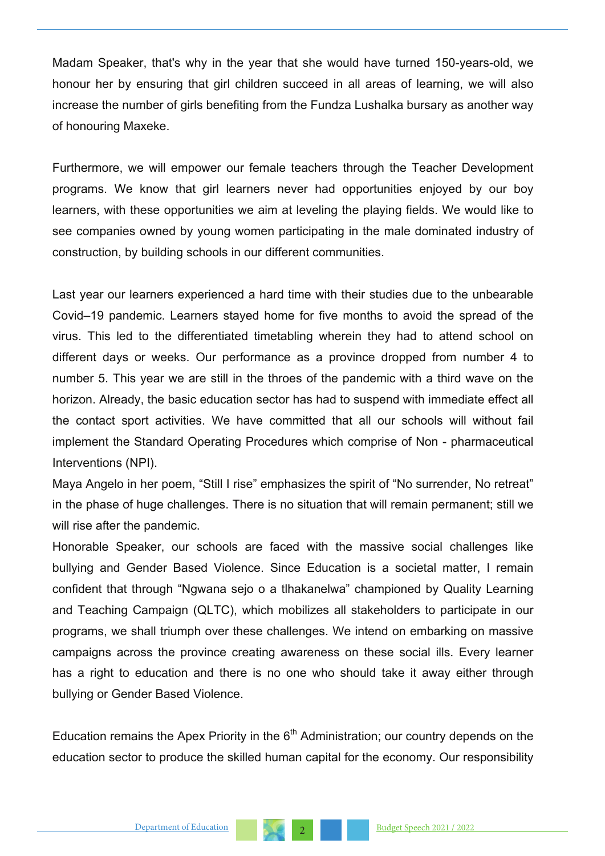Madam Speaker, that's why in the year that she would have turned 150-years-old, we honour her by ensuring that girl children succeed in all areas of learning, we will also increase the number of girls benefiting from the Fundza Lushalka bursary as another way of honouring Maxeke.

Furthermore, we will empower our female teachers through the Teacher Development programs. We know that girl learners never had opportunities enjoyed by our boy learners, with these opportunities we aim at leveling the playing fields. We would like to see companies owned by young women participating in the male dominated industry of construction, by building schools in our different communities.

Last year our learners experienced a hard time with their studies due to the unbearable Covid–19 pandemic. Learners stayed home for five months to avoid the spread of the virus. This led to the differentiated timetabling wherein they had to attend school on different days or weeks. Our performance as a province dropped from number 4 to number 5. This year we are still in the throes of the pandemic with a third wave on the horizon. Already, the basic education sector has had to suspend with immediate effect all the contact sport activities. We have committed that all our schools will without fail implement the Standard Operating Procedures which comprise of Non - pharmaceutical Interventions (NPI).

Maya Angelo in her poem, "Still I rise" emphasizes the spirit of "No surrender, No retreat" in the phase of huge challenges. There is no situation that will remain permanent; still we will rise after the pandemic.

Honorable Speaker, our schools are faced with the massive social challenges like bullying and Gender Based Violence. Since Education is a societal matter, I remain confident that through "Ngwana sejo o a tlhakanelwa" championed by Quality Learning and Teaching Campaign (QLTC), which mobilizes all stakeholders to participate in our programs, we shall triumph over these challenges. We intend on embarking on massive campaigns across the province creating awareness on these social ills. Every learner has a right to education and there is no one who should take it away either through bullying or Gender Based Violence.

Education remains the Apex Priority in the  $6<sup>th</sup>$  Administration; our country depends on the education sector to produce the skilled human capital for the economy. Our responsibility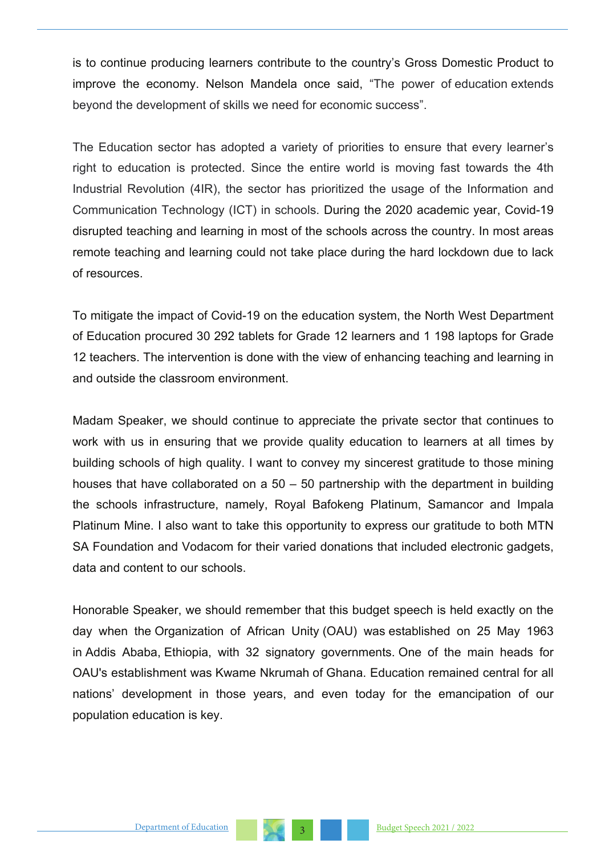is to continue producing learners contribute to the country's Gross Domestic Product to improve the economy. Nelson Mandela once said, "The power of education extends beyond the development of skills we need for economic success".

The Education sector has adopted a variety of priorities to ensure that every learner's right to education is protected. Since the entire world is moving fast towards the 4th Industrial Revolution (4IR), the sector has prioritized the usage of the Information and Communication Technology (ICT) in schools. During the 2020 academic year, Covid-19 disrupted teaching and learning in most of the schools across the country. In most areas remote teaching and learning could not take place during the hard lockdown due to lack of resources.

To mitigate the impact of Covid-19 on the education system, the North West Department of Education procured 30 292 tablets for Grade 12 learners and 1 198 laptops for Grade 12 teachers. The intervention is done with the view of enhancing teaching and learning in and outside the classroom environment.

Madam Speaker, we should continue to appreciate the private sector that continues to work with us in ensuring that we provide quality education to learners at all times by building schools of high quality. I want to convey my sincerest gratitude to those mining houses that have collaborated on a 50 – 50 partnership with the department in building the schools infrastructure, namely, Royal Bafokeng Platinum, Samancor and Impala Platinum Mine. I also want to take this opportunity to express our gratitude to both MTN SA Foundation and Vodacom for their varied donations that included electronic gadgets, data and content to our schools.

Honorable Speaker, we should remember that this budget speech is held exactly on the day when the Organization of African Unity (OAU) was established on 25 May 1963 in Addis Ababa, Ethiopia, with 32 signatory governments. One of the main heads for OAU's establishment was Kwame Nkrumah of Ghana. Education remained central for all nations' development in those years, and even today for the emancipation of our population education is key.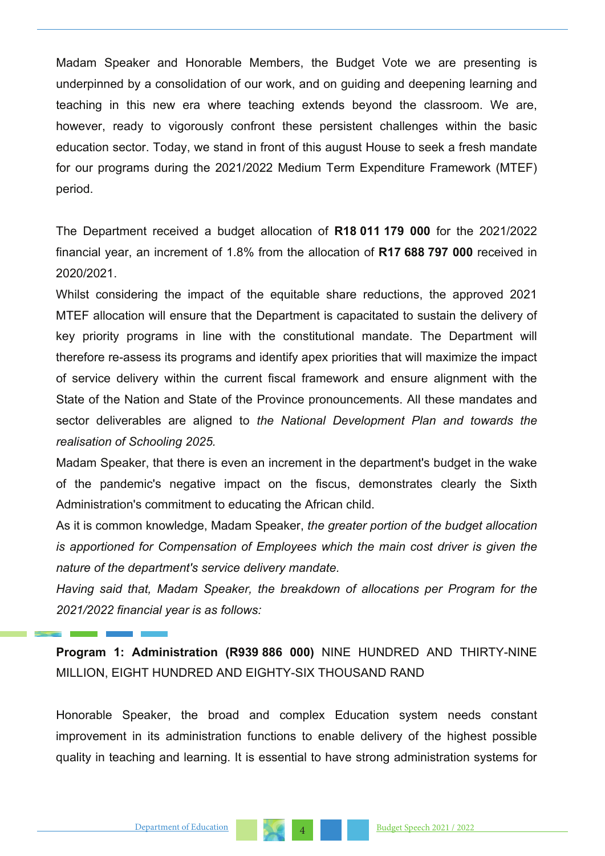Madam Speaker and Honorable Members, the Budget Vote we are presenting is underpinned by a consolidation of our work, and on guiding and deepening learning and teaching in this new era where teaching extends beyond the classroom. We are, however, ready to vigorously confront these persistent challenges within the basic education sector. Today, we stand in front of this august House to seek a fresh mandate for our programs during the 2021/2022 Medium Term Expenditure Framework (MTEF) period.

The Department received a budget allocation of **R18 011 179 000** for the 2021/2022 financial year, an increment of 1.8% from the allocation of **R17 688 797 000** received in 2020/2021.

Whilst considering the impact of the equitable share reductions, the approved 2021 MTEF allocation will ensure that the Department is capacitated to sustain the delivery of key priority programs in line with the constitutional mandate. The Department will therefore re-assess its programs and identify apex priorities that will maximize the impact of service delivery within the current fiscal framework and ensure alignment with the State of the Nation and State of the Province pronouncements. All these mandates and sector deliverables are aligned to *the National Development Plan and towards the realisation of Schooling 2025.*

Madam Speaker, that there is even an increment in the department's budget in the wake of the pandemic's negative impact on the fiscus, demonstrates clearly the Sixth Administration's commitment to educating the African child.

As it is common knowledge, Madam Speaker, *the greater portion of the budget allocation is apportioned for Compensation of Employees which the main cost driver is given the nature of the department's service delivery mandate.* 

*Having said that, Madam Speaker, the breakdown of allocations per Program for the 2021/2022 financial year is as follows:* 

**Program 1: Administration (R939 886 000)** NINE HUNDRED AND THIRTY-NINE MILLION, EIGHT HUNDRED AND EIGHTY-SIX THOUSAND RAND

Honorable Speaker, the broad and complex Education system needs constant improvement in its administration functions to enable delivery of the highest possible quality in teaching and learning. It is essential to have strong administration systems for

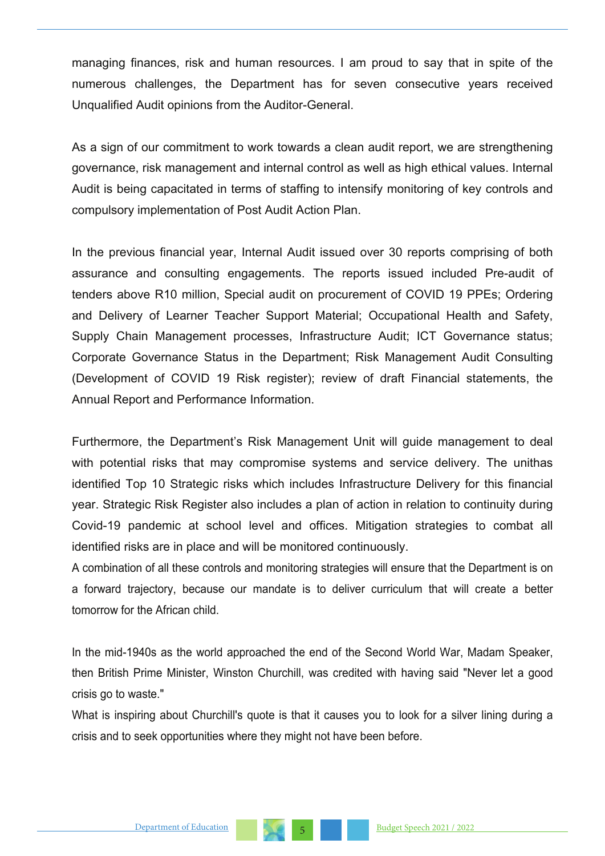managing finances, risk and human resources. I am proud to say that in spite of the numerous challenges, the Department has for seven consecutive years received Unqualified Audit opinions from the Auditor-General.

As a sign of our commitment to work towards a clean audit report, we are strengthening governance, risk management and internal control as well as high ethical values. Internal Audit is being capacitated in terms of staffing to intensify monitoring of key controls and compulsory implementation of Post Audit Action Plan.

In the previous financial year, Internal Audit issued over 30 reports comprising of both assurance and consulting engagements. The reports issued included Pre-audit of tenders above R10 million, Special audit on procurement of COVID 19 PPEs; Ordering and Delivery of Learner Teacher Support Material; Occupational Health and Safety, Supply Chain Management processes, Infrastructure Audit; ICT Governance status; Corporate Governance Status in the Department; Risk Management Audit Consulting (Development of COVID 19 Risk register); review of draft Financial statements, the Annual Report and Performance Information.

Furthermore, the Department's Risk Management Unit will guide management to deal with potential risks that may compromise systems and service delivery. The unithas identified Top 10 Strategic risks which includes Infrastructure Delivery for this financial year. Strategic Risk Register also includes a plan of action in relation to continuity during Covid-19 pandemic at school level and offices. Mitigation strategies to combat all identified risks are in place and will be monitored continuously.

A combination of all these controls and monitoring strategies will ensure that the Department is on a forward trajectory, because our mandate is to deliver curriculum that will create a better tomorrow for the African child.

In the mid-1940s as the world approached the end of the Second World War, Madam Speaker, then British Prime Minister, Winston Churchill, was credited with having said "Never let a good crisis go to waste."

What is inspiring about Churchill's quote is that it causes you to look for a silver lining during a crisis and to seek opportunities where they might not have been before.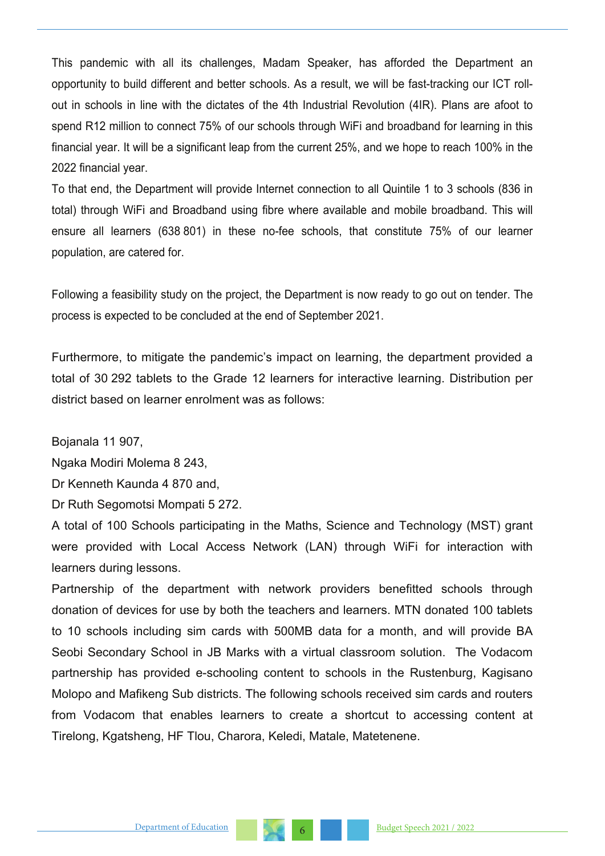This pandemic with all its challenges, Madam Speaker, has afforded the Department an opportunity to build different and better schools. As a result, we will be fast-tracking our ICT rollout in schools in line with the dictates of the 4th Industrial Revolution (4IR). Plans are afoot to spend R12 million to connect 75% of our schools through WiFi and broadband for learning in this financial year. It will be a significant leap from the current 25%, and we hope to reach 100% in the 2022 financial year.

To that end, the Department will provide Internet connection to all Quintile 1 to 3 schools (836 in total) through WiFi and Broadband using fibre where available and mobile broadband. This will ensure all learners (638 801) in these no-fee schools, that constitute 75% of our learner population, are catered for.

Following a feasibility study on the project, the Department is now ready to go out on tender. The process is expected to be concluded at the end of September 2021.

Furthermore, to mitigate the pandemic's impact on learning, the department provided a total of 30 292 tablets to the Grade 12 learners for interactive learning. Distribution per district based on learner enrolment was as follows:

Bojanala 11 907,

Ngaka Modiri Molema 8 243,

Dr Kenneth Kaunda 4 870 and,

Dr Ruth Segomotsi Mompati 5 272.

A total of 100 Schools participating in the Maths, Science and Technology (MST) grant were provided with Local Access Network (LAN) through WiFi for interaction with learners during lessons.

Partnership of the department with network providers benefitted schools through donation of devices for use by both the teachers and learners. MTN donated 100 tablets to 10 schools including sim cards with 500MB data for a month, and will provide BA Seobi Secondary School in JB Marks with a virtual classroom solution. The Vodacom partnership has provided e-schooling content to schools in the Rustenburg, Kagisano Molopo and Mafikeng Sub districts. The following schools received sim cards and routers from Vodacom that enables learners to create a shortcut to accessing content at Tirelong, Kgatsheng, HF Tlou, Charora, Keledi, Matale, Matetenene.

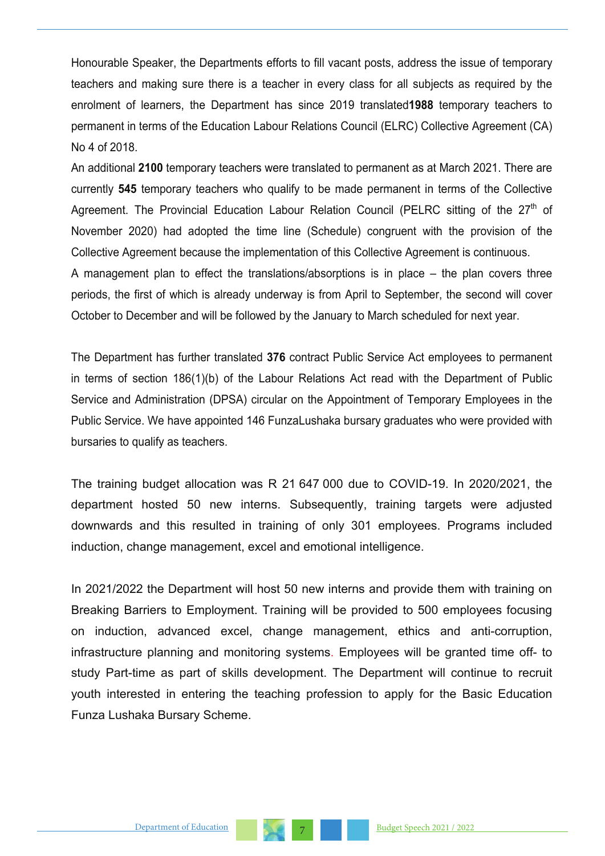Honourable Speaker, the Departments efforts to fill vacant posts, address the issue of temporary teachers and making sure there is a teacher in every class for all subjects as required by the enrolment of learners, the Department has since 2019 translated**1988** temporary teachers to permanent in terms of the Education Labour Relations Council (ELRC) Collective Agreement (CA) No 4 of 2018.

An additional **2100** temporary teachers were translated to permanent as at March 2021. There are currently **545** temporary teachers who qualify to be made permanent in terms of the Collective Agreement. The Provincial Education Labour Relation Council (PELRC sitting of the  $27<sup>th</sup>$  of November 2020) had adopted the time line (Schedule) congruent with the provision of the Collective Agreement because the implementation of this Collective Agreement is continuous.

A management plan to effect the translations/absorptions is in place – the plan covers three periods, the first of which is already underway is from April to September, the second will cover October to December and will be followed by the January to March scheduled for next year.

The Department has further translated **376** contract Public Service Act employees to permanent in terms of section 186(1)(b) of the Labour Relations Act read with the Department of Public Service and Administration (DPSA) circular on the Appointment of Temporary Employees in the Public Service. We have appointed 146 FunzaLushaka bursary graduates who were provided with bursaries to qualify as teachers.

The training budget allocation was R 21 647 000 due to COVID-19. In 2020/2021, the department hosted 50 new interns. Subsequently, training targets were adjusted downwards and this resulted in training of only 301 employees. Programs included induction, change management, excel and emotional intelligence.

In 2021/2022 the Department will host 50 new interns and provide them with training on Breaking Barriers to Employment. Training will be provided to 500 employees focusing on induction, advanced excel, change management, ethics and anti-corruption, infrastructure planning and monitoring systems. Employees will be granted time off- to study Part-time as part of skills development. The Department will continue to recruit youth interested in entering the teaching profession to apply for the Basic Education Funza Lushaka Bursary Scheme.

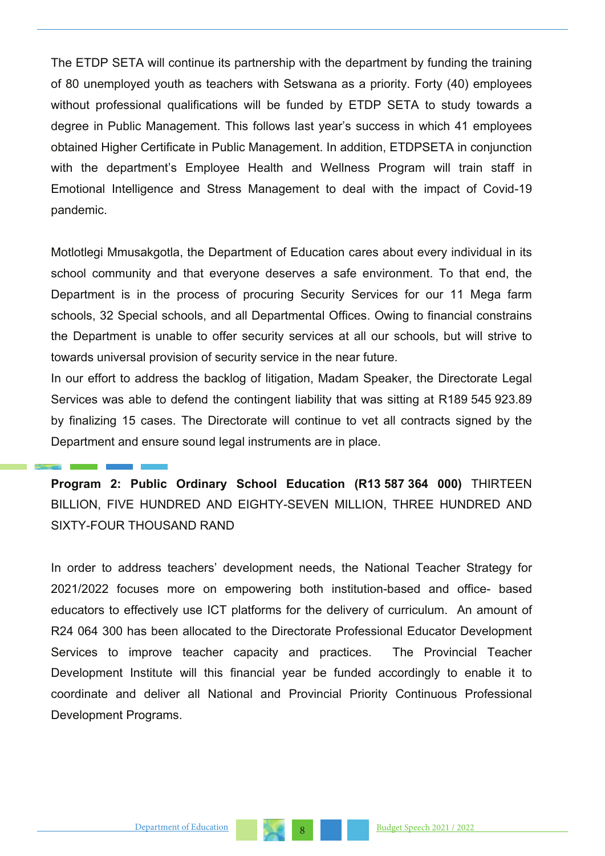The ETDP SETA will continue its partnership with the department by funding the training of 80 unemployed youth as teachers with Setswana as a priority. Forty (40) employees without professional qualifications will be funded by ETDP SETA to study towards a degree in Public Management. This follows last year's success in which 41 employees obtained Higher Certificate in Public Management. In addition, ETDPSETA in conjunction with the department's Employee Health and Wellness Program will train staff in Emotional Intelligence and Stress Management to deal with the impact of Covid-19 pandemic.

Motlotlegi Mmusakgotla, the Department of Education cares about every individual in its school community and that everyone deserves a safe environment. To that end, the Department is in the process of procuring Security Services for our 11 Mega farm schools, 32 Special schools, and all Departmental Offices. Owing to financial constrains the Department is unable to offer security services at all our schools, but will strive to towards universal provision of security service in the near future.

In our effort to address the backlog of litigation, Madam Speaker, the Directorate Legal Services was able to defend the contingent liability that was sitting at R189 545 923.89 by finalizing 15 cases. The Directorate will continue to vet all contracts signed by the Department and ensure sound legal instruments are in place.

**Program 2: Public Ordinary School Education (R13 587 364 000)** THIRTEEN BILLION, FIVE HUNDRED AND EIGHTY-SEVEN MILLION, THREE HUNDRED AND SIXTY-FOUR THOUSAND RAND

In order to address teachers' development needs, the National Teacher Strategy for 2021/2022 focuses more on empowering both institution-based and office- based educators to effectively use ICT platforms for the delivery of curriculum. An amount of R24 064 300 has been allocated to the Directorate Professional Educator Development Services to improve teacher capacity and practices. The Provincial Teacher Development Institute will this financial year be funded accordingly to enable it to coordinate and deliver all National and Provincial Priority Continuous Professional Development Programs.

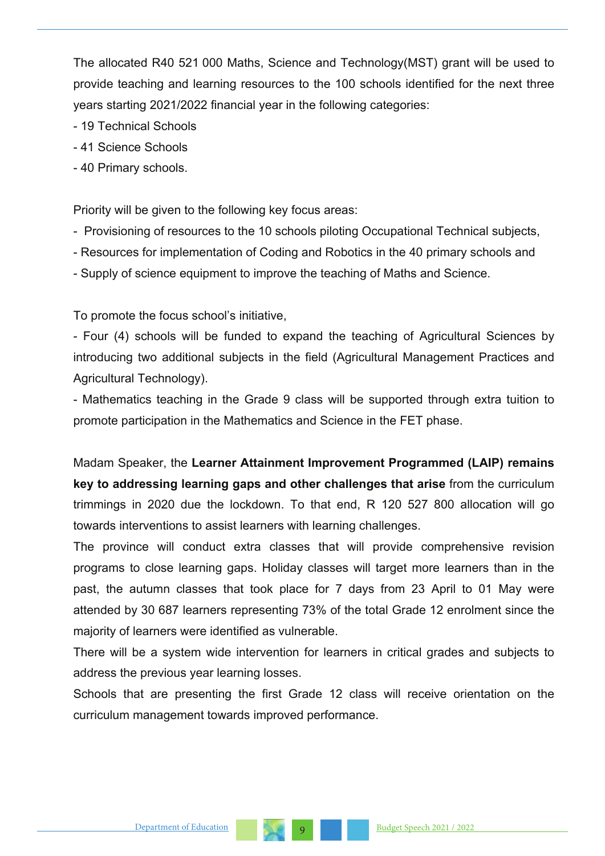The allocated R40 521 000 Maths, Science and Technology(MST) grant will be used to provide teaching and learning resources to the 100 schools identified for the next three years starting 2021/2022 financial year in the following categories:

- 19 Technical Schools
- 41 Science Schools
- 40 Primary schools.

Priority will be given to the following key focus areas:

- Provisioning of resources to the 10 schools piloting Occupational Technical subjects,
- Resources for implementation of Coding and Robotics in the 40 primary schools and
- Supply of science equipment to improve the teaching of Maths and Science.

To promote the focus school's initiative,

- Four (4) schools will be funded to expand the teaching of Agricultural Sciences by introducing two additional subjects in the field (Agricultural Management Practices and Agricultural Technology).

- Mathematics teaching in the Grade 9 class will be supported through extra tuition to promote participation in the Mathematics and Science in the FET phase.

Madam Speaker, the **Learner Attainment Improvement Programmed (LAIP) remains key to addressing learning gaps and other challenges that arise** from the curriculum trimmings in 2020 due the lockdown. To that end, R 120 527 800 allocation will go towards interventions to assist learners with learning challenges.

The province will conduct extra classes that will provide comprehensive revision programs to close learning gaps. Holiday classes will target more learners than in the past, the autumn classes that took place for 7 days from 23 April to 01 May were attended by 30 687 learners representing 73% of the total Grade 12 enrolment since the majority of learners were identified as vulnerable.

There will be a system wide intervention for learners in critical grades and subjects to address the previous year learning losses.

Schools that are presenting the first Grade 12 class will receive orientation on the curriculum management towards improved performance.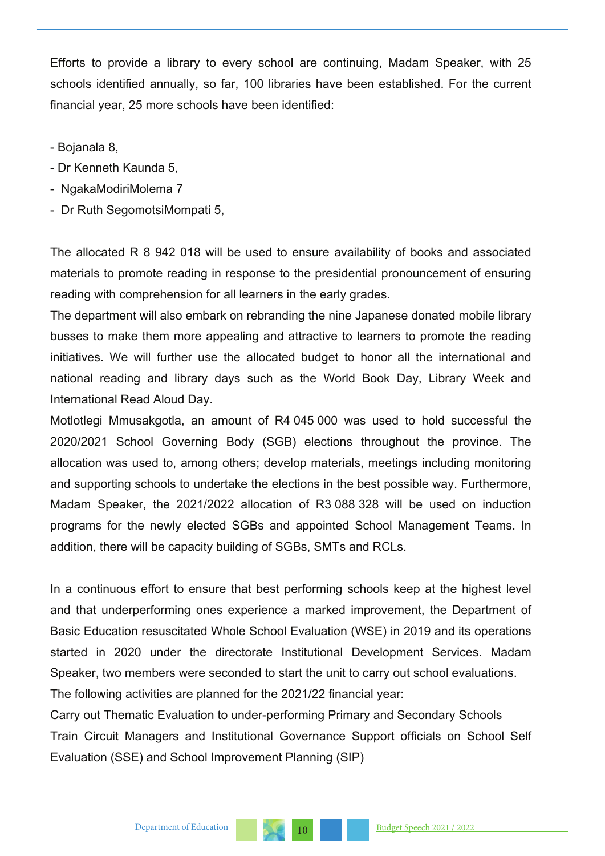Efforts to provide a library to every school are continuing, Madam Speaker, with 25 schools identified annually, so far, 100 libraries have been established. For the current financial year, 25 more schools have been identified:

- Bojanala 8,
- Dr Kenneth Kaunda 5,
- NgakaModiriMolema 7
- Dr Ruth SegomotsiMompati 5,

The allocated R 8 942 018 will be used to ensure availability of books and associated materials to promote reading in response to the presidential pronouncement of ensuring reading with comprehension for all learners in the early grades.

The department will also embark on rebranding the nine Japanese donated mobile library busses to make them more appealing and attractive to learners to promote the reading initiatives. We will further use the allocated budget to honor all the international and national reading and library days such as the World Book Day, Library Week and International Read Aloud Day.

Motlotlegi Mmusakgotla, an amount of R4 045 000 was used to hold successful the 2020/2021 School Governing Body (SGB) elections throughout the province. The allocation was used to, among others; develop materials, meetings including monitoring and supporting schools to undertake the elections in the best possible way. Furthermore, Madam Speaker, the 2021/2022 allocation of R3 088 328 will be used on induction programs for the newly elected SGBs and appointed School Management Teams. In addition, there will be capacity building of SGBs, SMTs and RCLs.

In a continuous effort to ensure that best performing schools keep at the highest level and that underperforming ones experience a marked improvement, the Department of Basic Education resuscitated Whole School Evaluation (WSE) in 2019 and its operations started in 2020 under the directorate Institutional Development Services. Madam Speaker, two members were seconded to start the unit to carry out school evaluations. The following activities are planned for the 2021/22 financial year:

Carry out Thematic Evaluation to under-performing Primary and Secondary Schools Train Circuit Managers and Institutional Governance Support officials on School Self Evaluation (SSE) and School Improvement Planning (SIP)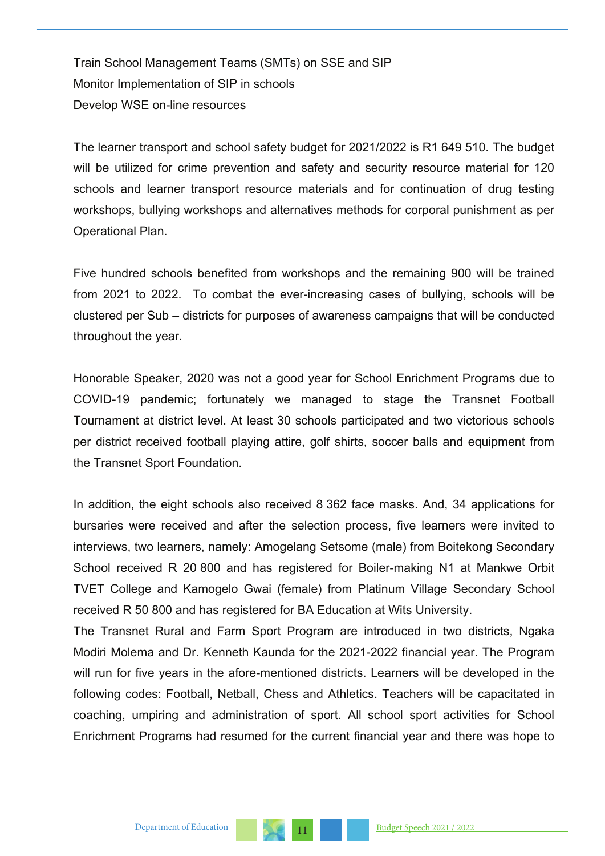Train School Management Teams (SMTs) on SSE and SIP Monitor Implementation of SIP in schools Develop WSE on-line resources

The learner transport and school safety budget for 2021/2022 is R1 649 510. The budget will be utilized for crime prevention and safety and security resource material for 120 schools and learner transport resource materials and for continuation of drug testing workshops, bullying workshops and alternatives methods for corporal punishment as per Operational Plan.

Five hundred schools benefited from workshops and the remaining 900 will be trained from 2021 to 2022. To combat the ever-increasing cases of bullying, schools will be clustered per Sub – districts for purposes of awareness campaigns that will be conducted throughout the year.

Honorable Speaker, 2020 was not a good year for School Enrichment Programs due to COVID-19 pandemic; fortunately we managed to stage the Transnet Football Tournament at district level. At least 30 schools participated and two victorious schools per district received football playing attire, golf shirts, soccer balls and equipment from the Transnet Sport Foundation.

In addition, the eight schools also received 8 362 face masks. And, 34 applications for bursaries were received and after the selection process, five learners were invited to interviews, two learners, namely: Amogelang Setsome (male) from Boitekong Secondary School received R 20 800 and has registered for Boiler-making N1 at Mankwe Orbit TVET College and Kamogelo Gwai (female) from Platinum Village Secondary School received R 50 800 and has registered for BA Education at Wits University.

The Transnet Rural and Farm Sport Program are introduced in two districts, Ngaka Modiri Molema and Dr. Kenneth Kaunda for the 2021-2022 financial year. The Program will run for five years in the afore-mentioned districts. Learners will be developed in the following codes: Football, Netball, Chess and Athletics. Teachers will be capacitated in coaching, umpiring and administration of sport. All school sport activities for School Enrichment Programs had resumed for the current financial year and there was hope to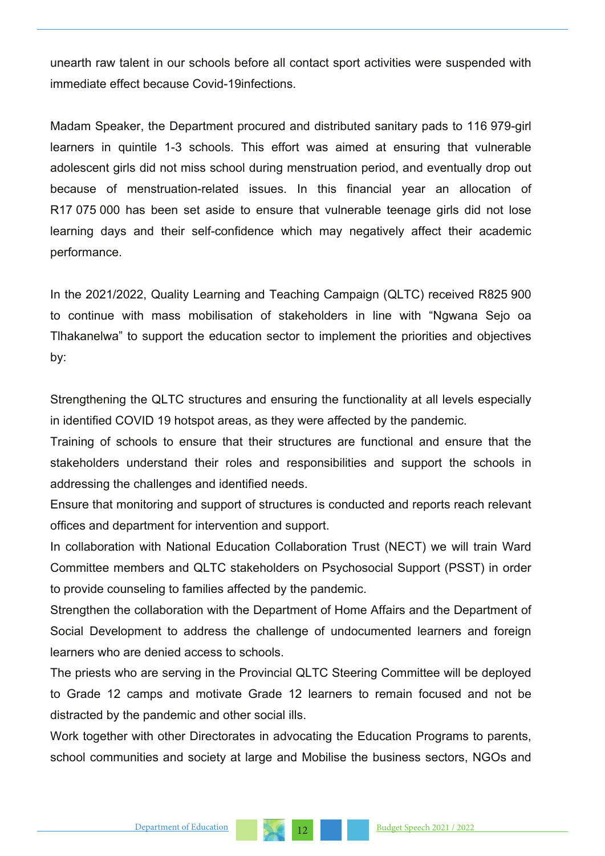unearth raw talent in our schools before all contact sport activities were suspended with immediate effect because Covid-19infections.

Madam Speaker, the Department procured and distributed sanitary pads to 116 979-girl learners in quintile 1-3 schools. This effort was aimed at ensuring that vulnerable adolescent girls did not miss school during menstruation period, and eventually drop out because of menstruation-related issues. In this financial year an allocation of R17 075 000 has been set aside to ensure that vulnerable teenage girls did not lose learning days and their self-confidence which may negatively affect their academic performance.

In the 2021/2022, Quality Learning and Teaching Campaign (QLTC) received R825 900 to continue with mass mobilisation of stakeholders in line with "Ngwana Sejo oa Tlhakanelwa" to support the education sector to implement the priorities and objectives by:

Strengthening the QLTC structures and ensuring the functionality at all levels especially in identified COVID 19 hotspot areas, as they were affected by the pandemic.

Training of schools to ensure that their structures are functional and ensure that the stakeholders understand their roles and responsibilities and support the schools in addressing the challenges and identified needs.

Ensure that monitoring and support of structures is conducted and reports reach relevant offices and department for intervention and support.

In collaboration with National Education Collaboration Trust (NECT) we will train Ward Committee members and QLTC stakeholders on Psychosocial Support (PSST) in order to provide counseling to families affected by the pandemic.

Strengthen the collaboration with the Department of Home Affairs and the Department of Social Development to address the challenge of undocumented learners and foreign learners who are denied access to schools.

The priests who are serving in the Provincial QLTC Steering Committee will be deployed to Grade 12 camps and motivate Grade 12 learners to remain focused and not be distracted by the pandemic and other social ills.

Work together with other Directorates in advocating the Education Programs to parents, school communities and society at large and Mobilise the business sectors, NGOs and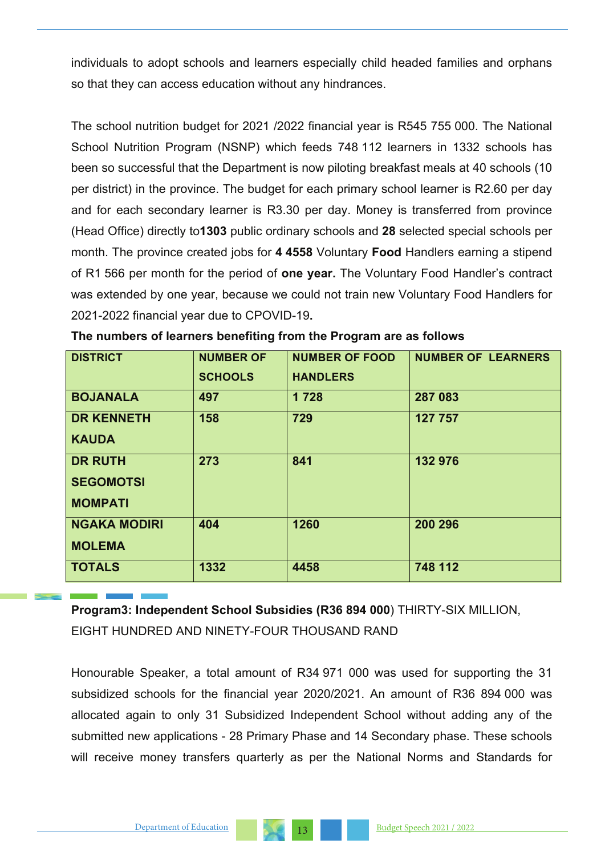individuals to adopt schools and learners especially child headed families and orphans so that they can access education without any hindrances.

The school nutrition budget for 2021 /2022 financial year is R545 755 000. The National School Nutrition Program (NSNP) which feeds 748 112 learners in 1332 schools has been so successful that the Department is now piloting breakfast meals at 40 schools (10 per district) in the province. The budget for each primary school learner is R2.60 per day and for each secondary learner is R3.30 per day. Money is transferred from province (Head Office) directly to**1303** public ordinary schools and **28** selected special schools per month. The province created jobs for **4 4558** Voluntary **Food** Handlers earning a stipend of R1 566 per month for the period of **one year.** The Voluntary Food Handler's contract was extended by one year, because we could not train new Voluntary Food Handlers for 2021-2022 financial year due to CPOVID-19**.**

| <b>DISTRICT</b>     | <b>NUMBER OF</b> | <b>NUMBER OF FOOD</b> | <b>NUMBER OF LEARNERS</b> |
|---------------------|------------------|-----------------------|---------------------------|
|                     | <b>SCHOOLS</b>   | <b>HANDLERS</b>       |                           |
| <b>BOJANALA</b>     | 497              | 1 7 2 8               | 287 083                   |
| <b>DR KENNETH</b>   | 158              | 729                   | 127 757                   |
| <b>KAUDA</b>        |                  |                       |                           |
| <b>DR RUTH</b>      | 273              | 841                   | 132 976                   |
| <b>SEGOMOTSI</b>    |                  |                       |                           |
| <b>MOMPATI</b>      |                  |                       |                           |
| <b>NGAKA MODIRI</b> | 404              | 1260                  | 200 296                   |
| <b>MOLEMA</b>       |                  |                       |                           |
| <b>TOTALS</b>       | 1332             | 4458                  | 748 112                   |

|  |  | The numbers of learners benefiting from the Program are as follows |
|--|--|--------------------------------------------------------------------|
|--|--|--------------------------------------------------------------------|

**Program3: Independent School Subsidies (R36 894 000**) THIRTY-SIX MILLION, EIGHT HUNDRED AND NINETY-FOUR THOUSAND RAND

Honourable Speaker, a total amount of R34 971 000 was used for supporting the 31 subsidized schools for the financial year 2020/2021. An amount of R36 894 000 was allocated again to only 31 Subsidized Independent School without adding any of the submitted new applications - 28 Primary Phase and 14 Secondary phase. These schools will receive money transfers quarterly as per the National Norms and Standards for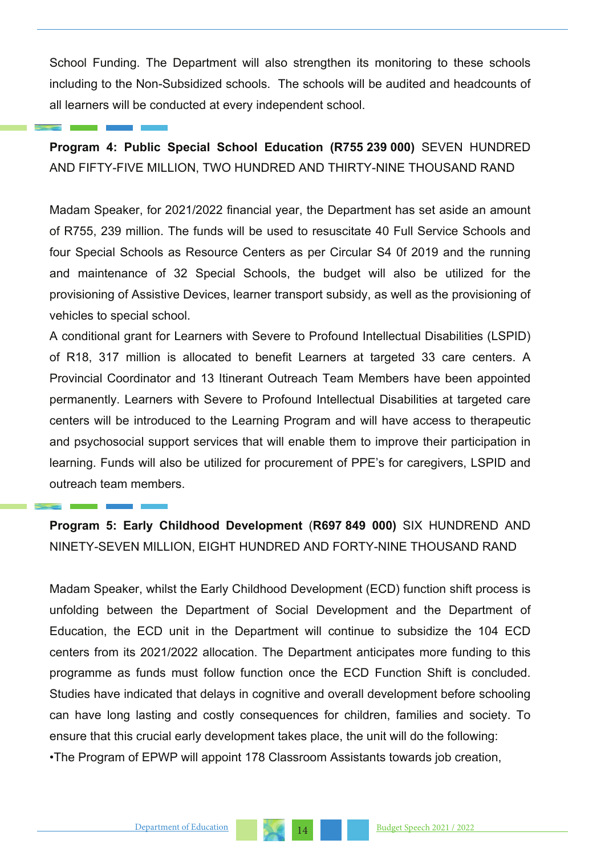School Funding. The Department will also strengthen its monitoring to these schools including to the Non-Subsidized schools. The schools will be audited and headcounts of all learners will be conducted at every independent school.

**Program 4: Public Special School Education (R755 239 000)** SEVEN HUNDRED AND FIFTY-FIVE MILLION, TWO HUNDRED AND THIRTY-NINE THOUSAND RAND

Madam Speaker, for 2021/2022 financial year, the Department has set aside an amount of R755, 239 million. The funds will be used to resuscitate 40 Full Service Schools and four Special Schools as Resource Centers as per Circular S4 0f 2019 and the running and maintenance of 32 Special Schools, the budget will also be utilized for the provisioning of Assistive Devices, learner transport subsidy, as well as the provisioning of vehicles to special school.

A conditional grant for Learners with Severe to Profound Intellectual Disabilities (LSPID) of R18, 317 million is allocated to benefit Learners at targeted 33 care centers. A Provincial Coordinator and 13 Itinerant Outreach Team Members have been appointed permanently. Learners with Severe to Profound Intellectual Disabilities at targeted care centers will be introduced to the Learning Program and will have access to therapeutic and psychosocial support services that will enable them to improve their participation in learning. Funds will also be utilized for procurement of PPE's for caregivers, LSPID and outreach team members.

**Program 5: Early Childhood Development** (**R697 849 000)** SIX HUNDREND AND NINETY-SEVEN MILLION, EIGHT HUNDRED AND FORTY-NINE THOUSAND RAND

Madam Speaker, whilst the Early Childhood Development (ECD) function shift process is unfolding between the Department of Social Development and the Department of Education, the ECD unit in the Department will continue to subsidize the 104 ECD centers from its 2021/2022 allocation. The Department anticipates more funding to this programme as funds must follow function once the ECD Function Shift is concluded. Studies have indicated that delays in cognitive and overall development before schooling can have long lasting and costly consequences for children, families and society. To ensure that this crucial early development takes place, the unit will do the following: •The Program of EPWP will appoint 178 Classroom Assistants towards job creation,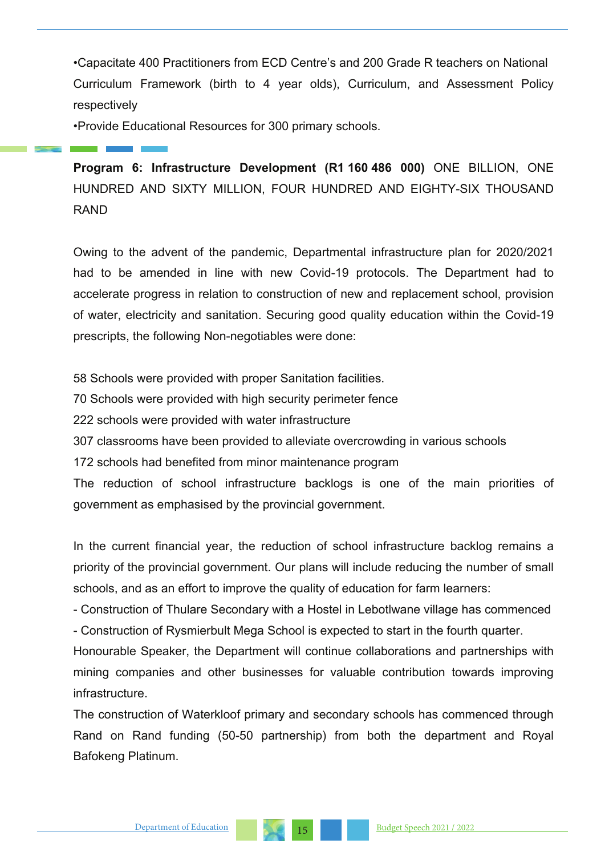•Capacitate 400 Practitioners from ECD Centre's and 200 Grade R teachers on National Curriculum Framework (birth to 4 year olds), Curriculum, and Assessment Policy respectively

•Provide Educational Resources for 300 primary schools.

**Program 6: Infrastructure Development (R1 160 486 000)** ONE BILLION, ONE HUNDRED AND SIXTY MILLION, FOUR HUNDRED AND EIGHTY-SIX THOUSAND RAND

Owing to the advent of the pandemic, Departmental infrastructure plan for 2020/2021 had to be amended in line with new Covid-19 protocols. The Department had to accelerate progress in relation to construction of new and replacement school, provision of water, electricity and sanitation. Securing good quality education within the Covid-19 prescripts, the following Non-negotiables were done:

58 Schools were provided with proper Sanitation facilities.

70 Schools were provided with high security perimeter fence

222 schools were provided with water infrastructure

307 classrooms have been provided to alleviate overcrowding in various schools

172 schools had benefited from minor maintenance program

The reduction of school infrastructure backlogs is one of the main priorities of government as emphasised by the provincial government.

In the current financial year, the reduction of school infrastructure backlog remains a priority of the provincial government. Our plans will include reducing the number of small schools, and as an effort to improve the quality of education for farm learners:

- Construction of Thulare Secondary with a Hostel in Lebotlwane village has commenced - Construction of Rysmierbult Mega School is expected to start in the fourth quarter.

Honourable Speaker, the Department will continue collaborations and partnerships with mining companies and other businesses for valuable contribution towards improving infrastructure.

The construction of Waterkloof primary and secondary schools has commenced through Rand on Rand funding (50-50 partnership) from both the department and Royal Bafokeng Platinum.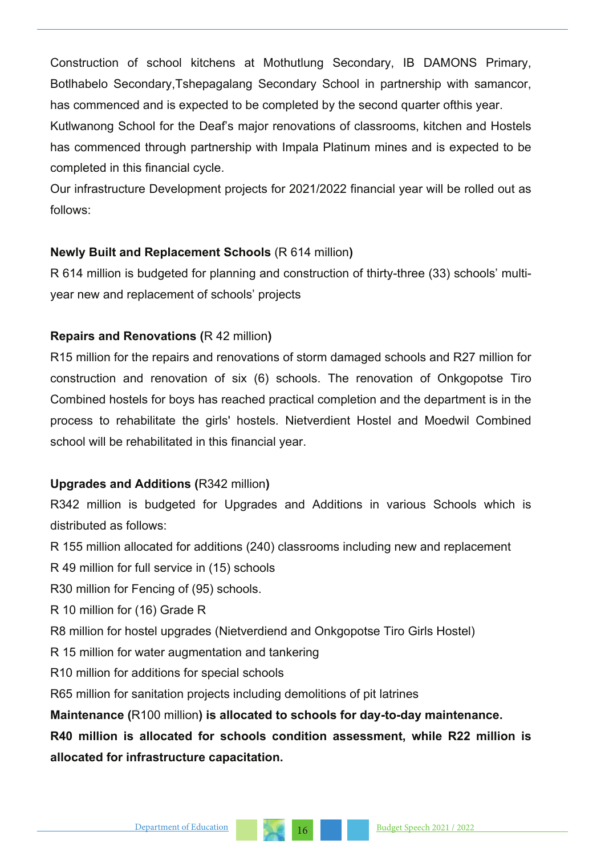Construction of school kitchens at Mothutlung Secondary, IB DAMONS Primary, Botlhabelo Secondary,Tshepagalang Secondary School in partnership with samancor, has commenced and is expected to be completed by the second quarter ofthis year.

Kutlwanong School for the Deaf's major renovations of classrooms, kitchen and Hostels has commenced through partnership with Impala Platinum mines and is expected to be completed in this financial cycle.

Our infrastructure Development projects for 2021/2022 financial year will be rolled out as follows:

# **Newly Built and Replacement Schools** (R 614 million**)**

R 614 million is budgeted for planning and construction of thirty-three (33) schools' multiyear new and replacement of schools' projects

# **Repairs and Renovations (**R 42 million**)**

R15 million for the repairs and renovations of storm damaged schools and R27 million for construction and renovation of six (6) schools. The renovation of Onkgopotse Tiro Combined hostels for boys has reached practical completion and the department is in the process to rehabilitate the girls' hostels. Nietverdient Hostel and Moedwil Combined school will be rehabilitated in this financial year.

# **Upgrades and Additions (**R342 million**)**

R342 million is budgeted for Upgrades and Additions in various Schools which is distributed as follows:

R 155 million allocated for additions (240) classrooms including new and replacement

R 49 million for full service in (15) schools

R30 million for Fencing of (95) schools.

R 10 million for (16) Grade R

R8 million for hostel upgrades (Nietverdiend and Onkgopotse Tiro Girls Hostel)

R 15 million for water augmentation and tankering

R10 million for additions for special schools

R65 million for sanitation projects including demolitions of pit latrines

**Maintenance (**R100 million**) is allocated to schools for day-to-day maintenance.**

**R40 million is allocated for schools condition assessment, while R22 million is allocated for infrastructure capacitation.**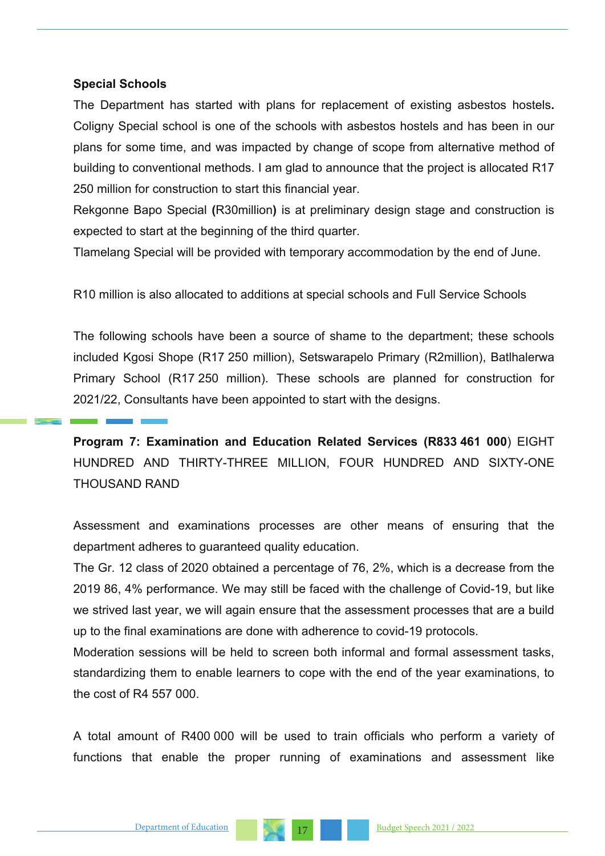#### **Special Schools**

The Department has started with plans for replacement of existing asbestos hostels**.**  Coligny Special school is one of the schools with asbestos hostels and has been in our plans for some time, and was impacted by change of scope from alternative method of building to conventional methods. I am glad to announce that the project is allocated R17 250 million for construction to start this financial year.

Rekgonne Bapo Special **(**R30million**)** is at preliminary design stage and construction is expected to start at the beginning of the third quarter.

Tlamelang Special will be provided with temporary accommodation by the end of June.

R10 million is also allocated to additions at special schools and Full Service Schools

The following schools have been a source of shame to the department; these schools included Kgosi Shope (R17 250 million), Setswarapelo Primary (R2million), Batlhalerwa Primary School (R17 250 million). These schools are planned for construction for 2021/22, Consultants have been appointed to start with the designs.

**Program 7: Examination and Education Related Services (R833 461 000**) EIGHT HUNDRED AND THIRTY-THREE MILLION, FOUR HUNDRED AND SIXTY-ONE THOUSAND RAND

Assessment and examinations processes are other means of ensuring that the department adheres to guaranteed quality education.

The Gr. 12 class of 2020 obtained a percentage of 76, 2%, which is a decrease from the 2019 86, 4% performance. We may still be faced with the challenge of Covid-19, but like we strived last year, we will again ensure that the assessment processes that are a build up to the final examinations are done with adherence to covid-19 protocols.

Moderation sessions will be held to screen both informal and formal assessment tasks, standardizing them to enable learners to cope with the end of the year examinations, to the cost of R4 557 000.

A total amount of R400 000 will be used to train officials who perform a variety of functions that enable the proper running of examinations and assessment like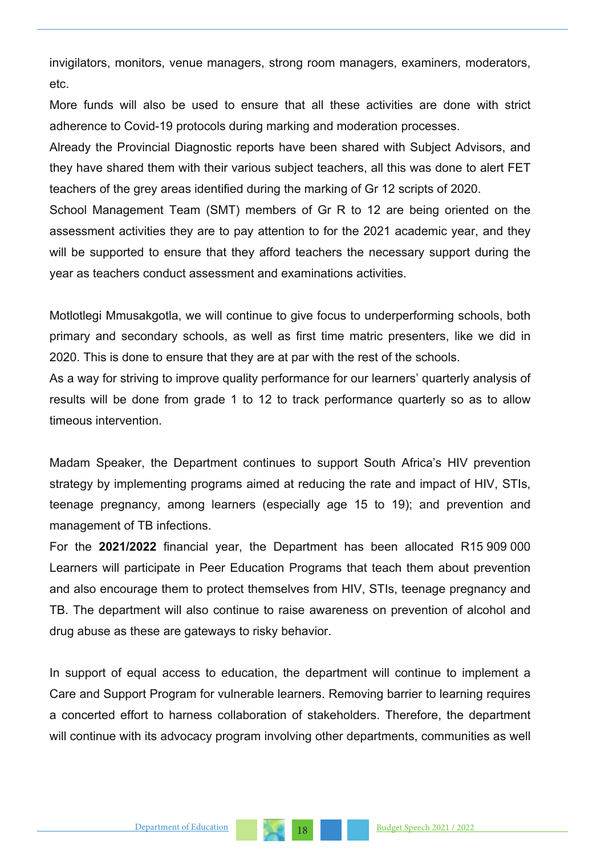invigilators, monitors, venue managers, strong room managers, examiners, moderators, etc.

More funds will also be used to ensure that all these activities are done with strict adherence to Covid-19 protocols during marking and moderation processes.

Already the Provincial Diagnostic reports have been shared with Subject Advisors, and they have shared them with their various subject teachers, all this was done to alert FET teachers of the grey areas identified during the marking of Gr 12 scripts of 2020.

School Management Team (SMT) members of Gr R to 12 are being oriented on the assessment activities they are to pay attention to for the 2021 academic year, and they will be supported to ensure that they afford teachers the necessary support during the year as teachers conduct assessment and examinations activities.

Motlotlegi Mmusakgotla, we will continue to give focus to underperforming schools, both primary and secondary schools, as well as first time matric presenters, like we did in 2020. This is done to ensure that they are at par with the rest of the schools.

As a way for striving to improve quality performance for our learners' quarterly analysis of results will be done from grade 1 to 12 to track performance quarterly so as to allow timeous intervention.

Madam Speaker, the Department continues to support South Africa's HIV prevention strategy by implementing programs aimed at reducing the rate and impact of HIV, STIs, teenage pregnancy, among learners (especially age 15 to 19); and prevention and management of TB infections.

For the **2021/2022** financial year, the Department has been allocated R15 909 000 Learners will participate in Peer Education Programs that teach them about prevention and also encourage them to protect themselves from HIV, STIs, teenage pregnancy and TB. The department will also continue to raise awareness on prevention of alcohol and drug abuse as these are gateways to risky behavior.

In support of equal access to education, the department will continue to implement a Care and Support Program for vulnerable learners. Removing barrier to learning requires a concerted effort to harness collaboration of stakeholders. Therefore, the department will continue with its advocacy program involving other departments, communities as well

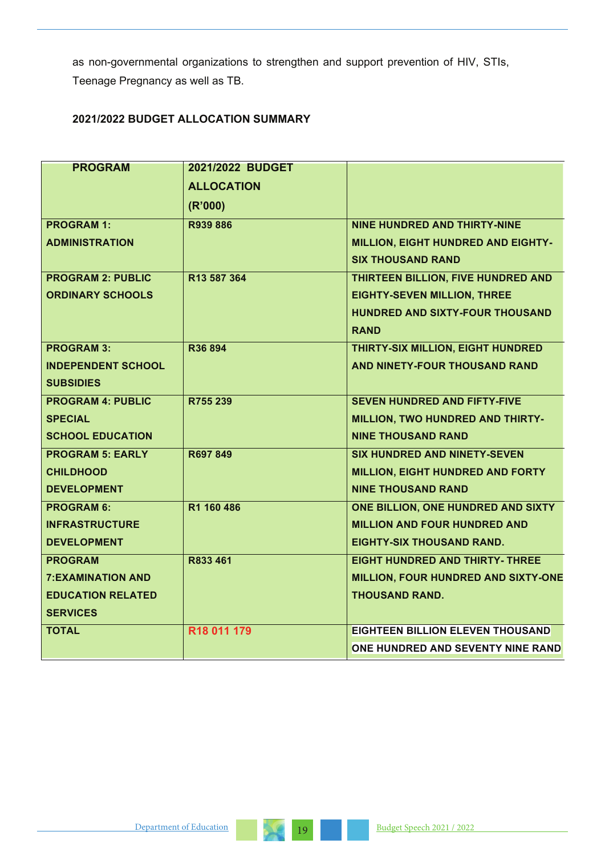as non-governmental organizations to strengthen and support prevention of HIV, STIs, Teenage Pregnancy as well as TB.

## **2021/2022 BUDGET ALLOCATION SUMMARY**

| <b>PROGRAM</b>            | 2021/2022 BUDGET        |                                         |
|---------------------------|-------------------------|-----------------------------------------|
|                           | <b>ALLOCATION</b>       |                                         |
|                           | (R'000)                 |                                         |
| <b>PROGRAM 1:</b>         | R939 886                | <b>NINE HUNDRED AND THIRTY-NINE</b>     |
| <b>ADMINISTRATION</b>     |                         | MILLION, EIGHT HUNDRED AND EIGHTY-      |
|                           |                         | <b>SIX THOUSAND RAND</b>                |
| <b>PROGRAM 2: PUBLIC</b>  | R13 587 364             | THIRTEEN BILLION, FIVE HUNDRED AND      |
| <b>ORDINARY SCHOOLS</b>   |                         | <b>EIGHTY-SEVEN MILLION, THREE</b>      |
|                           |                         | HUNDRED AND SIXTY-FOUR THOUSAND         |
|                           |                         | <b>RAND</b>                             |
| <b>PROGRAM 3:</b>         | R36 894                 | THIRTY-SIX MILLION, EIGHT HUNDRED       |
| <b>INDEPENDENT SCHOOL</b> |                         | AND NINETY-FOUR THOUSAND RAND           |
| <b>SUBSIDIES</b>          |                         |                                         |
| <b>PROGRAM 4: PUBLIC</b>  | R755 239                | <b>SEVEN HUNDRED AND FIFTY-FIVE</b>     |
| <b>SPECIAL</b>            |                         | MILLION, TWO HUNDRED AND THIRTY-        |
| <b>SCHOOL EDUCATION</b>   |                         | <b>NINE THOUSAND RAND</b>               |
| <b>PROGRAM 5: EARLY</b>   | R697 849                | <b>SIX HUNDRED AND NINETY-SEVEN</b>     |
| <b>CHILDHOOD</b>          |                         | MILLION, EIGHT HUNDRED AND FORTY        |
| <b>DEVELOPMENT</b>        |                         | <b>NINE THOUSAND RAND</b>               |
| <b>PROGRAM 6:</b>         | R1 160 486              | ONE BILLION, ONE HUNDRED AND SIXTY      |
| <b>INFRASTRUCTURE</b>     |                         | <b>MILLION AND FOUR HUNDRED AND</b>     |
| <b>DEVELOPMENT</b>        |                         | <b>EIGHTY-SIX THOUSAND RAND.</b>        |
| <b>PROGRAM</b>            | R833 461                | <b>EIGHT HUNDRED AND THIRTY- THREE</b>  |
| <b>7:EXAMINATION AND</b>  |                         | MILLION, FOUR HUNDRED AND SIXTY-ONE     |
| <b>EDUCATION RELATED</b>  |                         | <b>THOUSAND RAND.</b>                   |
| <b>SERVICES</b>           |                         |                                         |
| <b>TOTAL</b>              | R <sub>18</sub> 011 179 | <b>EIGHTEEN BILLION ELEVEN THOUSAND</b> |
|                           |                         | ONE HUNDRED AND SEVENTY NINE RAND       |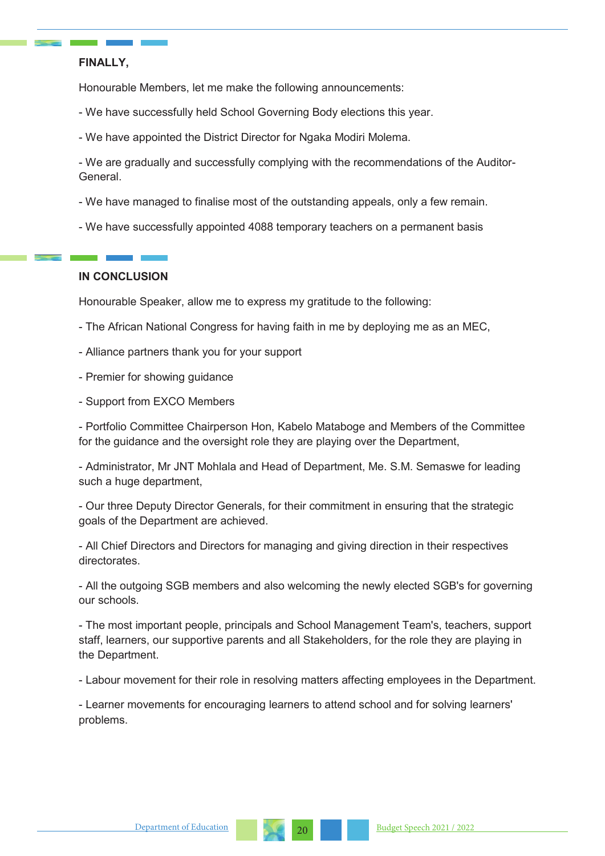#### **FINALLY,**

Honourable Members, let me make the following announcements:

- We have successfully held School Governing Body elections this year.
- We have appointed the District Director for Ngaka Modiri Molema.

- We are gradually and successfully complying with the recommendations of the Auditor-General.

- We have managed to finalise most of the outstanding appeals, only a few remain.
- We have successfully appointed 4088 temporary teachers on a permanent basis

#### **IN CONCLUSION**

Honourable Speaker, allow me to express my gratitude to the following:

- The African National Congress for having faith in me by deploying me as an MEC,
- Alliance partners thank you for your support
- Premier for showing quidance
- Support from EXCO Members

- Portfolio Committee Chairperson Hon, Kabelo Mataboge and Members of the Committee for the guidance and the oversight role they are playing over the Department,

- Administrator, Mr JNT Mohlala and Head of Department, Me. S.M. Semaswe for leading such a huge department,

- Our three Deputy Director Generals, for their commitment in ensuring that the strategic goals of the Department are achieved.

- All Chief Directors and Directors for managing and giving direction in their respectives directorates.

- All the outgoing SGB members and also welcoming the newly elected SGB's for governing our schools.

- The most important people, principals and School Management Team's, teachers, support staff, learners, our supportive parents and all Stakeholders, for the role they are playing in the Department.

- Labour movement for their role in resolving matters affecting employees in the Department.

- Learner movements for encouraging learners to attend school and for solving learners' problems.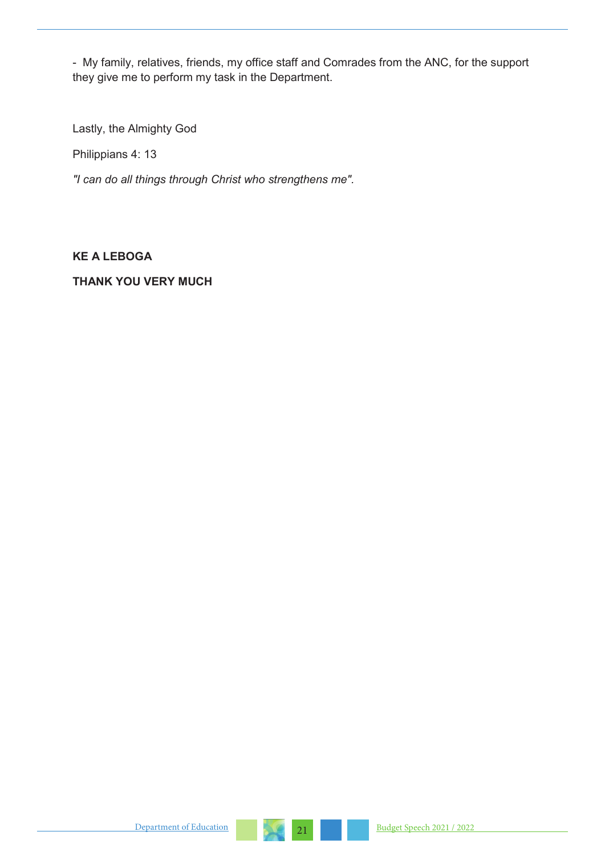- My family, relatives, friends, my office staff and Comrades from the ANC, for the support they give me to perform my task in the Department.

Lastly, the Almighty God

Philippians 4: 13

*"I can do all things through Christ who strengthens me".*

#### **KE A LEBOGA**

#### **THANK YOU VERY MUCH**